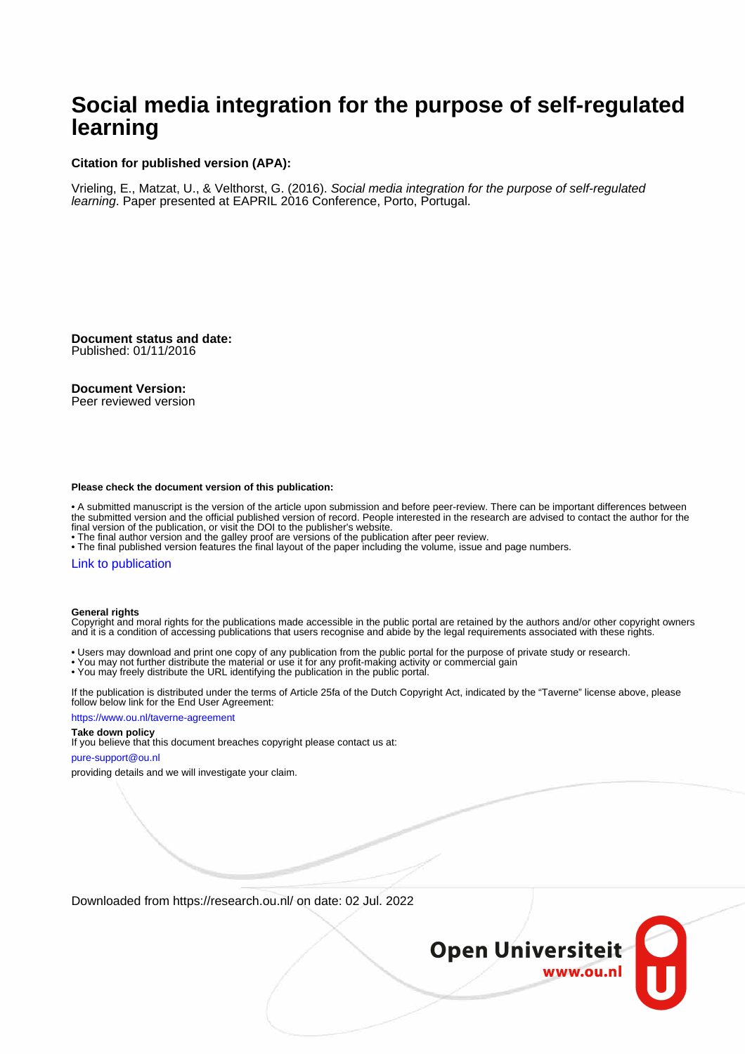# **Social media integration for the purpose of self-regulated learning**

### **Citation for published version (APA):**

Vrieling, E., Matzat, U., & Velthorst, G. (2016). Social media integration for the purpose of self-regulated learning. Paper presented at EAPRIL 2016 Conference, Porto, Portugal.

**Document status and date:** Published: 01/11/2016

#### **Document Version:**

Peer reviewed version

#### **Please check the document version of this publication:**

• A submitted manuscript is the version of the article upon submission and before peer-review. There can be important differences between the submitted version and the official published version of record. People interested in the research are advised to contact the author for the final version of the publication, or visit the DOI to the publisher's website.

• The final author version and the galley proof are versions of the publication after peer review.

• The final published version features the final layout of the paper including the volume, issue and page numbers.

#### [Link to publication](https://research.ou.nl/en/publications/2088fd3a-e78d-4395-a6f5-fec5f86e381a)

#### **General rights**

Copyright and moral rights for the publications made accessible in the public portal are retained by the authors and/or other copyright owners and it is a condition of accessing publications that users recognise and abide by the legal requirements associated with these rights.

- Users may download and print one copy of any publication from the public portal for the purpose of private study or research.
- You may not further distribute the material or use it for any profit-making activity or commercial gain
- You may freely distribute the URL identifying the publication in the public portal.

If the publication is distributed under the terms of Article 25fa of the Dutch Copyright Act, indicated by the "Taverne" license above, please follow below link for the End User Agreement:

#### https://www.ou.nl/taverne-agreement

### **Take down policy**

If you believe that this document breaches copyright please contact us at:

#### pure-support@ou.nl

providing details and we will investigate your claim.

Downloaded from https://research.ou.nl/ on date: 02 Jul. 2022

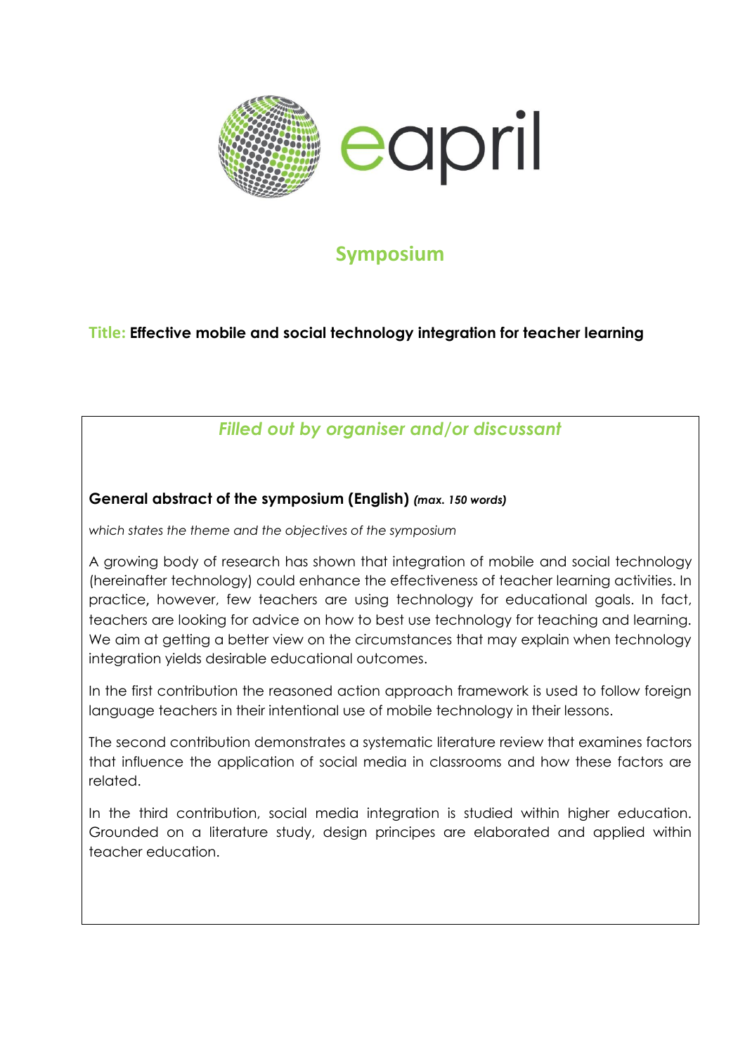

# **Symposium**

# **Title: Effective mobile and social technology integration for teacher learning**

# *Filled out by organiser and/or discussant*

# **General abstract of the symposium (English)** *(max. 150 words)*

*which states the theme and the objectives of the symposium*

A growing body of research has shown that integration of mobile and social technology (hereinafter technology) could enhance the effectiveness of teacher learning activities. In practice, however, few teachers are using technology for educational goals. In fact, teachers are looking for advice on how to best use technology for teaching and learning. We aim at getting a better view on the circumstances that may explain when technology integration yields desirable educational outcomes.

In the first contribution the reasoned action approach framework is used to follow foreign language teachers in their intentional use of mobile technology in their lessons.

The second contribution demonstrates a systematic literature review that examines factors that influence the application of social media in classrooms and how these factors are related.

In the third contribution, social media integration is studied within higher education. Grounded on a literature study, design principes are elaborated and applied within teacher education.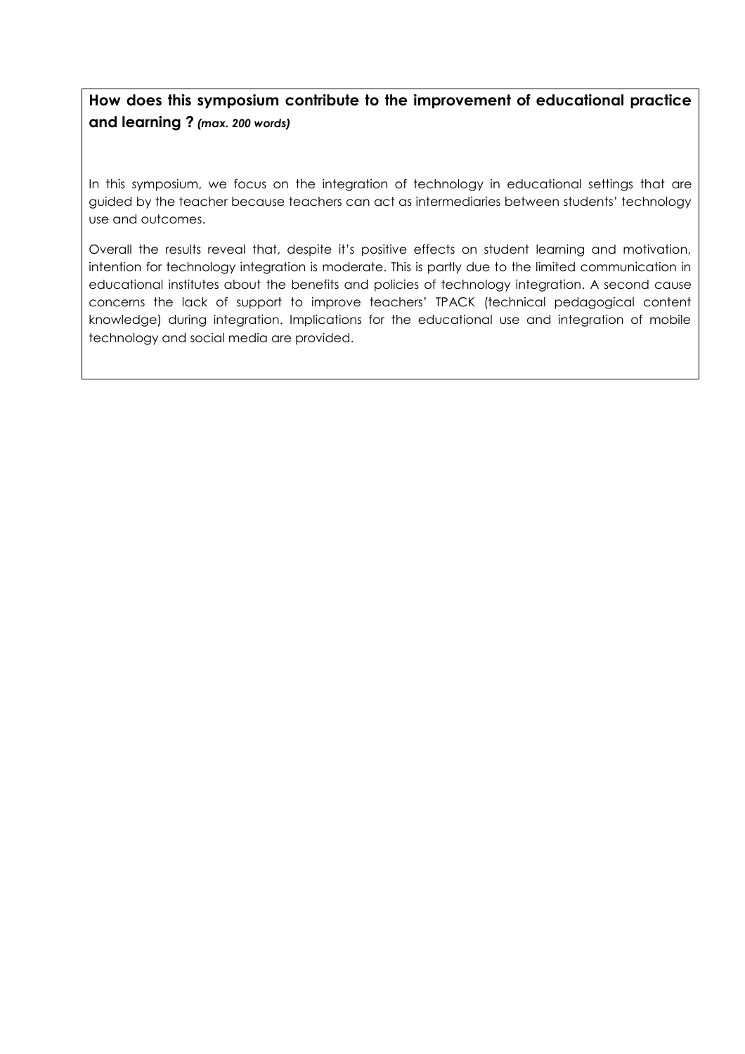# **How does this symposium contribute to the improvement of educational practice and learning ?** *(max. 200 words)*

In this symposium, we focus on the integration of technology in educational settings that are guided by the teacher because teachers can act as intermediaries between students' technology use and outcomes.

Overall the results reveal that, despite it's positive effects on student learning and motivation, intention for technology integration is moderate. This is partly due to the limited communication in educational institutes about the benefits and policies of technology integration. A second cause concerns the lack of support to improve teachers' TPACK (technical pedagogical content knowledge) during integration. Implications for the educational use and integration of mobile technology and social media are provided.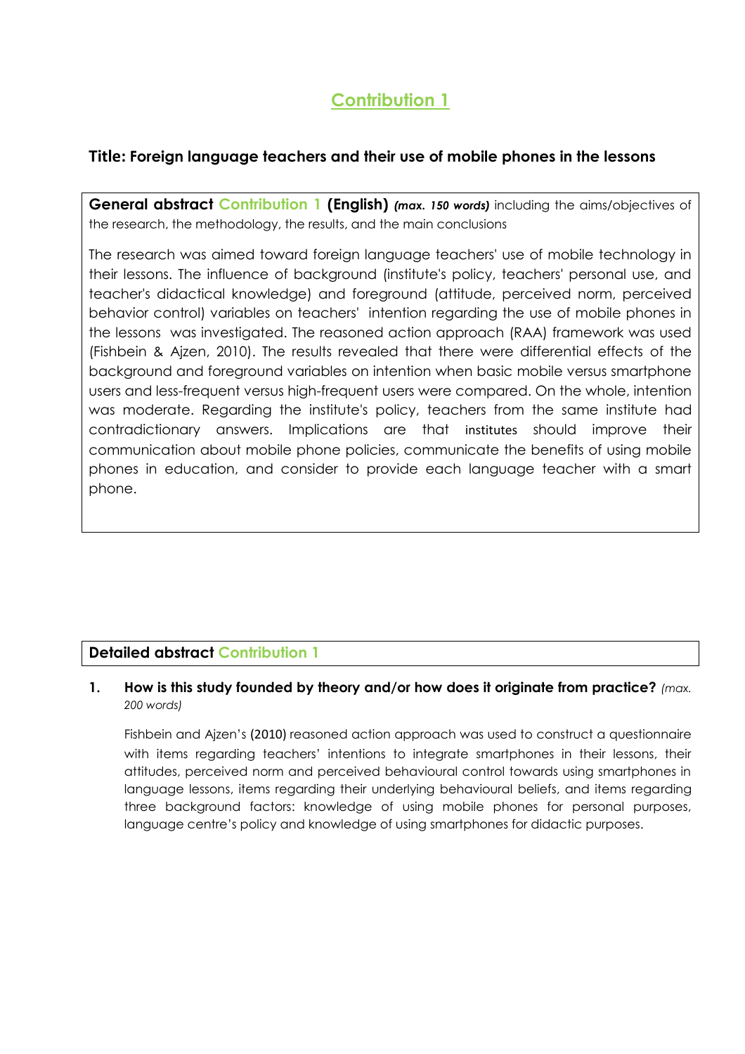# **Contribution 1**

# **Title: Foreign language teachers and their use of mobile phones in the lessons**

**General abstract Contribution 1 (English)** *(max. 150 words)* including the aims/objectives of the research, the methodology, the results, and the main conclusions

The research was aimed toward foreign language teachers' use of mobile technology in their lessons. The influence of background (institute's policy, teachers' personal use, and teacher's didactical knowledge) and foreground (attitude, perceived norm, perceived behavior control) variables on teachers' intention regarding the use of mobile phones in the lessons was investigated. The reasoned action approach (RAA) framework was used (Fishbein & Ajzen, 2010). The results revealed that there were differential effects of the background and foreground variables on intention when basic mobile versus smartphone users and less-frequent versus high-frequent users were compared. On the whole, intention was moderate. Regarding the institute's policy, teachers from the same institute had contradictionary answers. Implications are that institutes should improve their communication about mobile phone policies, communicate the benefits of using mobile phones in education, and consider to provide each language teacher with a smart phone.

# **Detailed abstract Contribution 1**

## **1. How is this study founded by theory and/or how does it originate from practice?** *(max. 200 words)*

Fishbein and Ajzen's (2010) reasoned action approach was used to construct a questionnaire with items regarding teachers' intentions to integrate smartphones in their lessons, their attitudes, perceived norm and perceived behavioural control towards using smartphones in language lessons, items regarding their underlying behavioural beliefs, and items regarding three background factors: knowledge of using mobile phones for personal purposes, language centre's policy and knowledge of using smartphones for didactic purposes.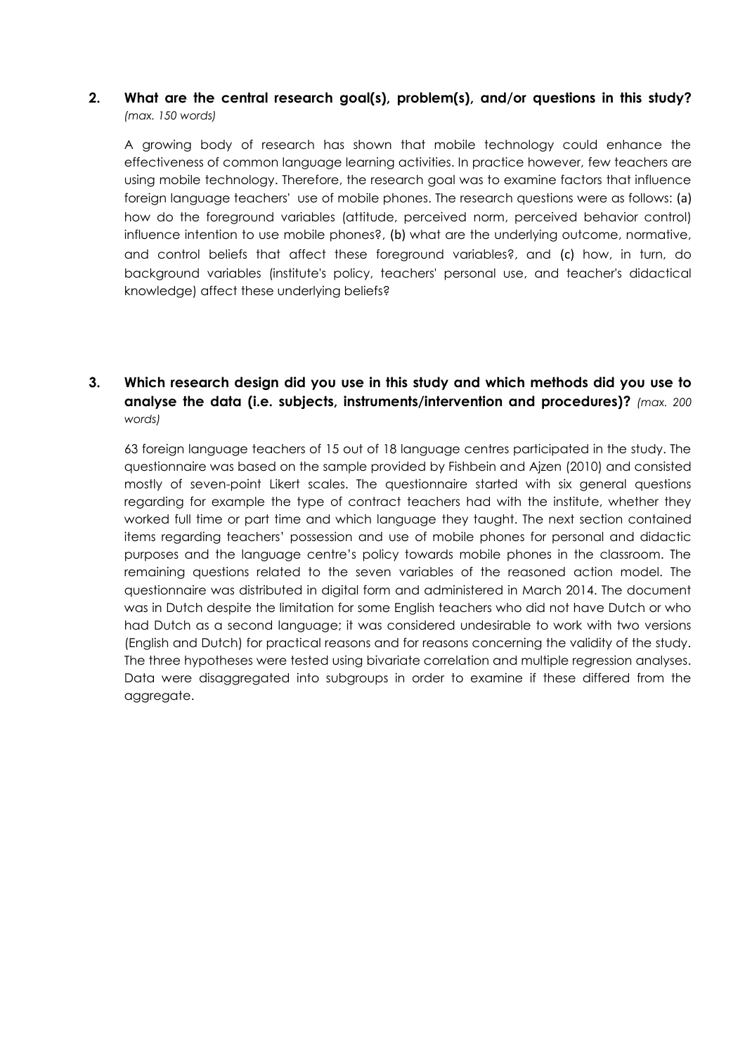### **2. What are the central research goal(s), problem(s), and/or questions in this study?** *(max. 150 words)*

A growing body of research has shown that mobile technology could enhance the effectiveness of common language learning activities. In practice however, few teachers are using mobile technology. Therefore, the research goal was to examine factors that influence foreign language teachers' use of mobile phones. The research questions were as follows: (a) how do the foreground variables (attitude, perceived norm, perceived behavior control) influence intention to use mobile phones?, (b) what are the underlying outcome, normative, and control beliefs that affect these foreground variables?, and (c) how, in turn, do background variables (institute's policy, teachers' personal use, and teacher's didactical knowledge) affect these underlying beliefs?

## **3. Which research design did you use in this study and which methods did you use to analyse the data (i.e. subjects, instruments/intervention and procedures)?** *(max. 200 words)*

63 foreign language teachers of 15 out of 18 language centres participated in the study. The questionnaire was based on the sample provided by Fishbein and Ajzen (2010) and consisted mostly of seven-point Likert scales. The questionnaire started with six general questions regarding for example the type of contract teachers had with the institute, whether they worked full time or part time and which language they taught. The next section contained items regarding teachers' possession and use of mobile phones for personal and didactic purposes and the language centre's policy towards mobile phones in the classroom. The remaining questions related to the seven variables of the reasoned action model. The questionnaire was distributed in digital form and administered in March 2014. The document was in Dutch despite the limitation for some English teachers who did not have Dutch or who had Dutch as a second language; it was considered undesirable to work with two versions (English and Dutch) for practical reasons and for reasons concerning the validity of the study. The three hypotheses were tested using bivariate correlation and multiple regression analyses. Data were disaggregated into subgroups in order to examine if these differed from the aggregate.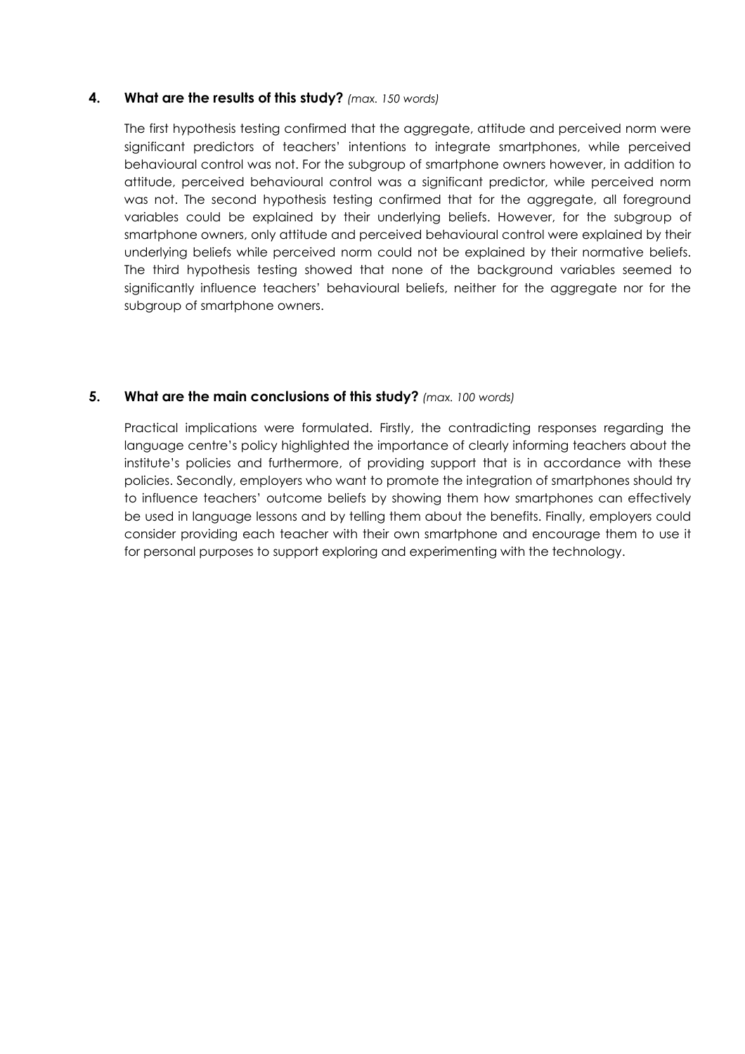### **4. What are the results of this study?** *(max. 150 words)*

The first hypothesis testing confirmed that the aggregate, attitude and perceived norm were significant predictors of teachers' intentions to integrate smartphones, while perceived behavioural control was not. For the subgroup of smartphone owners however, in addition to attitude, perceived behavioural control was a significant predictor, while perceived norm was not. The second hypothesis testing confirmed that for the aggregate, all foreground variables could be explained by their underlying beliefs. However, for the subgroup of smartphone owners, only attitude and perceived behavioural control were explained by their underlying beliefs while perceived norm could not be explained by their normative beliefs. The third hypothesis testing showed that none of the background variables seemed to significantly influence teachers' behavioural beliefs, neither for the aggregate nor for the subgroup of smartphone owners.

### **5. What are the main conclusions of this study?** *(max. 100 words)*

Practical implications were formulated. Firstly, the contradicting responses regarding the language centre's policy highlighted the importance of clearly informing teachers about the institute's policies and furthermore, of providing support that is in accordance with these policies. Secondly, employers who want to promote the integration of smartphones should try to influence teachers' outcome beliefs by showing them how smartphones can effectively be used in language lessons and by telling them about the benefits. Finally, employers could consider providing each teacher with their own smartphone and encourage them to use it for personal purposes to support exploring and experimenting with the technology.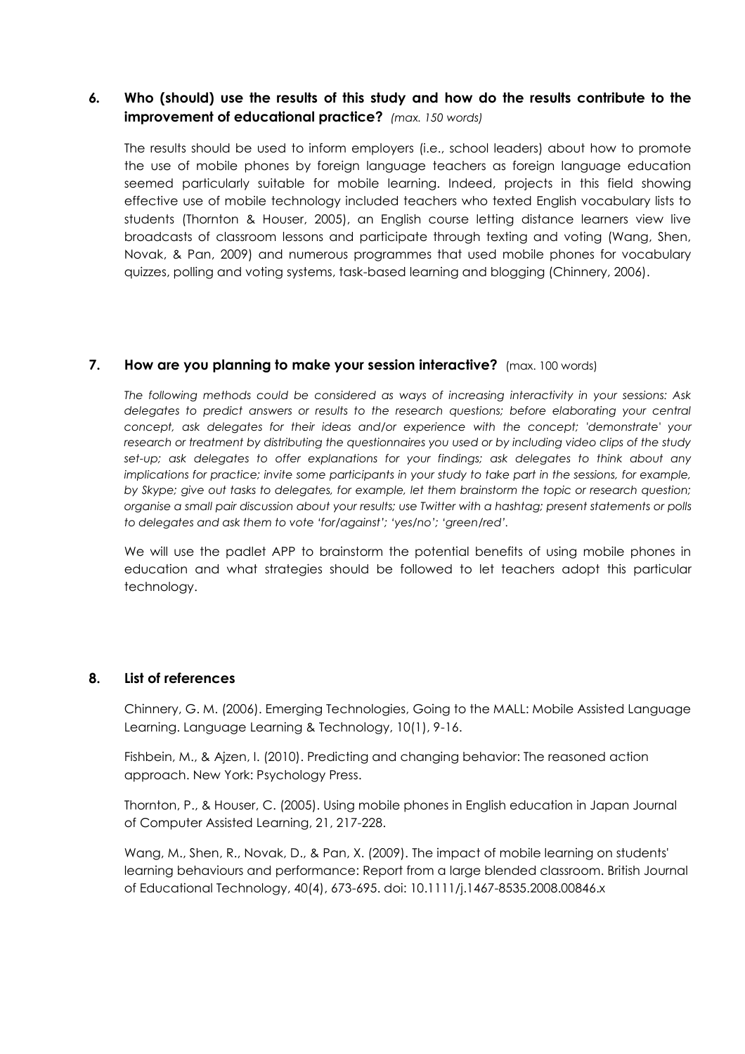## *6.* **Who (should) use the results of this study and how do the results contribute to the improvement of educational practice?** *(max. 150 words)*

The results should be used to inform employers (i.e., school leaders) about how to promote the use of mobile phones by foreign language teachers as foreign language education seemed particularly suitable for mobile learning. Indeed, projects in this field showing effective use of mobile technology included teachers who texted English vocabulary lists to students (Thornton & Houser, 2005), an English course letting distance learners view live broadcasts of classroom lessons and participate through texting and voting (Wang, Shen, Novak, & Pan, 2009) and numerous programmes that used mobile phones for vocabulary quizzes, polling and voting systems, task-based learning and blogging (Chinnery, 2006).

### **7. How are you planning to make your session interactive?** (max. 100 words)

*The following methods could be considered as ways of increasing interactivity in your sessions: Ask*  delegates to predict answers or results to the research questions; before elaborating your central *concept, ask delegates for their ideas and/or experience with the concept; 'demonstrate' your research or treatment by distributing the questionnaires you used or by including video clips of the study*  set-up; ask delegates to offer explanations for your findings; ask delegates to think about any *implications for practice; invite some participants in your study to take part in the sessions, for example, by Skype; give out tasks to delegates, for example, let them brainstorm the topic or research question; organise a small pair discussion about your results; use Twitter with a hashtag; present statements or polls to delegates and ask them to vote 'for/against'; 'yes/no'; 'green/red'.* 

We will use the padlet APP to brainstorm the potential benefits of using mobile phones in education and what strategies should be followed to let teachers adopt this particular technology.

### **8. List of references**

Chinnery, G. M. (2006). Emerging Technologies, Going to the MALL: Mobile Assisted Language Learning. Language Learning & Technology, 10(1), 9-16.

Fishbein, M., & Ajzen, I. (2010). Predicting and changing behavior: The reasoned action approach. New York: Psychology Press.

Thornton, P., & Houser, C. (2005). Using mobile phones in English education in Japan Journal of Computer Assisted Learning, 21, 217-228.

Wang, M., Shen, R., Novak, D., & Pan, X. (2009). The impact of mobile learning on students' learning behaviours and performance: Report from a large blended classroom. British Journal of Educational Technology, 40(4), 673-695. doi: 10.1111/j.1467-8535.2008.00846.x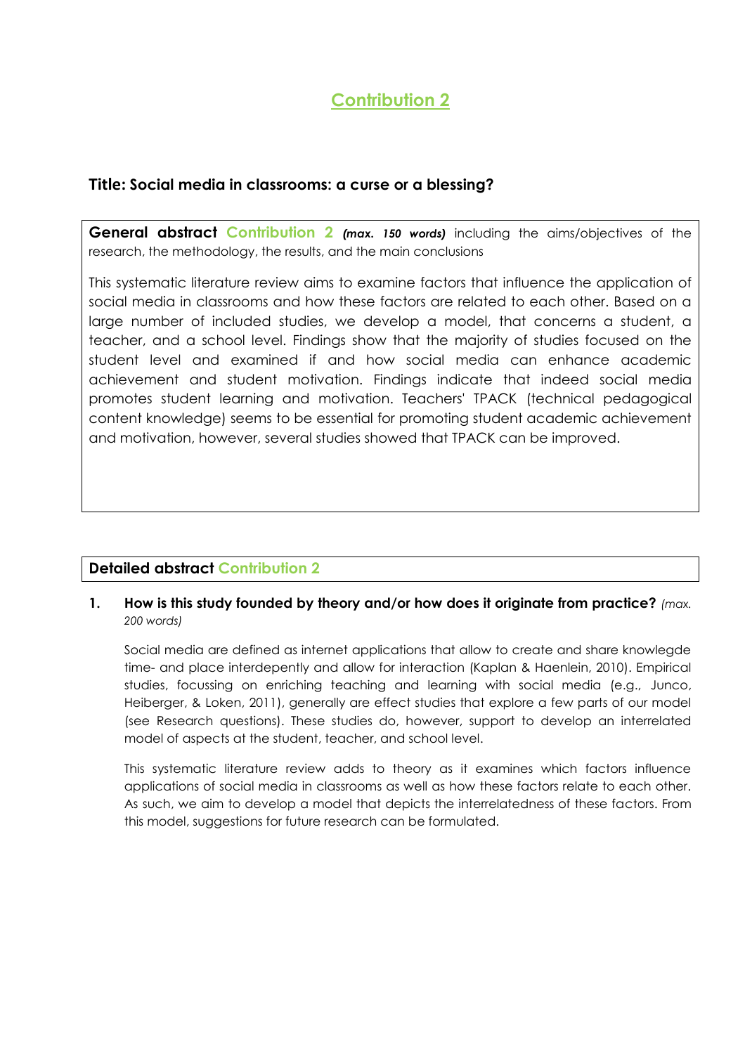# **Contribution 2**

## **Title: Social media in classrooms: a curse or a blessing?**

**General abstract Contribution 2** *(max. 150 words)* including the aims/objectives of the research, the methodology, the results, and the main conclusions

This systematic literature review aims to examine factors that influence the application of social media in classrooms and how these factors are related to each other. Based on a large number of included studies, we develop a model, that concerns a student, a teacher, and a school level. Findings show that the majority of studies focused on the student level and examined if and how social media can enhance academic achievement and student motivation. Findings indicate that indeed social media promotes student learning and motivation. Teachers' TPACK (technical pedagogical content knowledge) seems to be essential for promoting student academic achievement and motivation, however, several studies showed that TPACK can be improved.

# **Detailed abstract Contribution 2**

### **1. How is this study founded by theory and/or how does it originate from practice?** *(max. 200 words)*

Social media are defined as internet applications that allow to create and share knowlegde time- and place interdepently and allow for interaction (Kaplan & Haenlein, 2010). Empirical studies, focussing on enriching teaching and learning with social media (e.g., Junco, Heiberger, & Loken, 2011), generally are effect studies that explore a few parts of our model (see Research questions). These studies do, however, support to develop an interrelated model of aspects at the student, teacher, and school level.

This systematic literature review adds to theory as it examines which factors influence applications of social media in classrooms as well as how these factors relate to each other. As such, we aim to develop a model that depicts the interrelatedness of these factors. From this model, suggestions for future research can be formulated.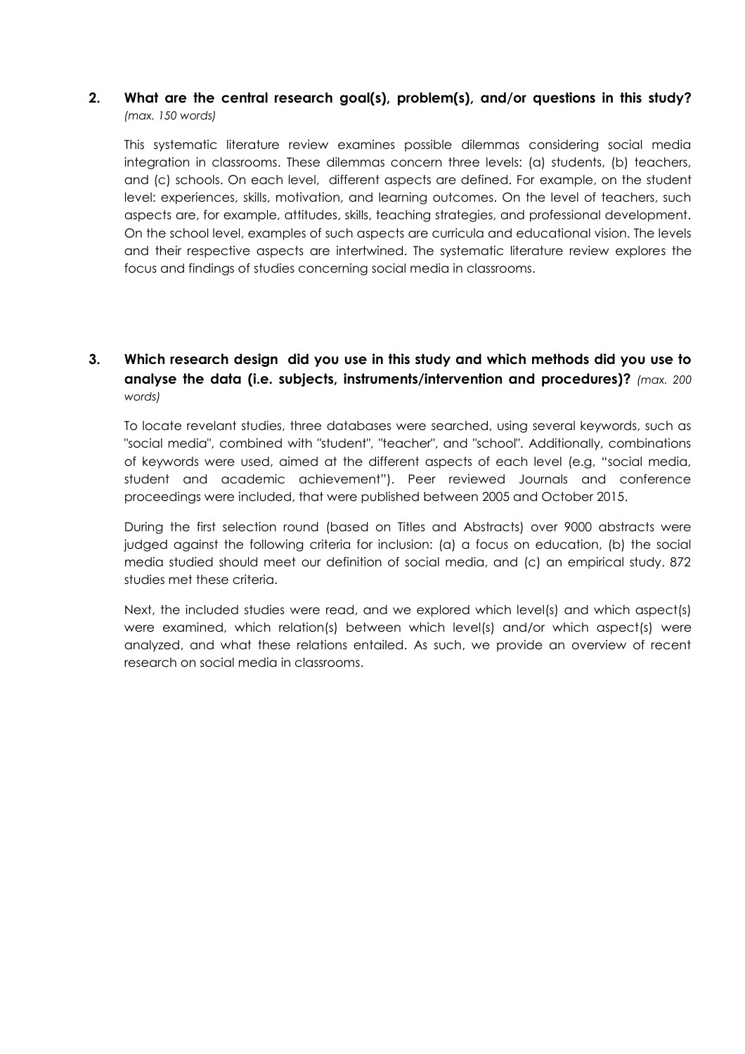### **2. What are the central research goal(s), problem(s), and/or questions in this study?** *(max. 150 words)*

This systematic literature review examines possible dilemmas considering social media integration in classrooms. These dilemmas concern three levels: (a) students, (b) teachers, and (c) schools. On each level, different aspects are defined. For example, on the student level: experiences, skills, motivation, and learning outcomes. On the level of teachers, such aspects are, for example, attitudes, skills, teaching strategies, and professional development. On the school level, examples of such aspects are curricula and educational vision. The levels and their respective aspects are intertwined. The systematic literature review explores the focus and findings of studies concerning social media in classrooms.

## **3. Which research design did you use in this study and which methods did you use to analyse the data (i.e. subjects, instruments/intervention and procedures)?** *(max. 200 words)*

To locate revelant studies, three databases were searched, using several keywords, such as "social media", combined with "student", "teacher", and "school". Additionally, combinations of keywords were used, aimed at the different aspects of each level (e.g, "social media, student and academic achievement"). Peer reviewed Journals and conference proceedings were included, that were published between 2005 and October 2015.

During the first selection round (based on Titles and Abstracts) over 9000 abstracts were judged against the following criteria for inclusion: (a) a focus on education, (b) the social media studied should meet our definition of social media, and (c) an empirical study. 872 studies met these criteria.

Next, the included studies were read, and we explored which level(s) and which aspect(s) were examined, which relation(s) between which level(s) and/or which aspect(s) were analyzed, and what these relations entailed. As such, we provide an overview of recent research on social media in classrooms.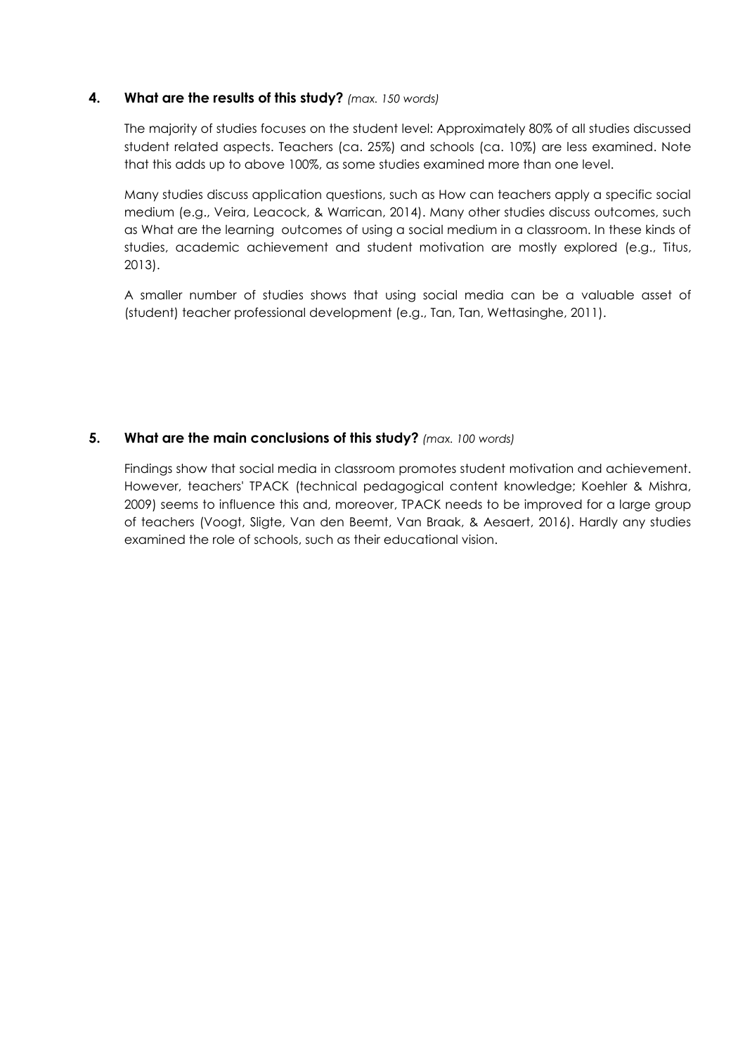### **4. What are the results of this study?** *(max. 150 words)*

The majority of studies focuses on the student level: Approximately 80% of all studies discussed student related aspects. Teachers (ca. 25%) and schools (ca. 10%) are less examined. Note that this adds up to above 100%, as some studies examined more than one level.

Many studies discuss application questions, such as How can teachers apply a specific social medium (e.g., Veira, Leacock, & Warrican, 2014). Many other studies discuss outcomes, such as What are the learning outcomes of using a social medium in a classroom. In these kinds of studies, academic achievement and student motivation are mostly explored (e.g., Titus, 2013).

A smaller number of studies shows that using social media can be a valuable asset of (student) teacher professional development (e.g., Tan, Tan, Wettasinghe, 2011).

## **5. What are the main conclusions of this study?** *(max. 100 words)*

Findings show that social media in classroom promotes student motivation and achievement. However, teachers' TPACK (technical pedagogical content knowledge; Koehler & Mishra, 2009) seems to influence this and, moreover, TPACK needs to be improved for a large group of teachers (Voogt, Sligte, Van den Beemt, Van Braak, & Aesaert, 2016). Hardly any studies examined the role of schools, such as their educational vision.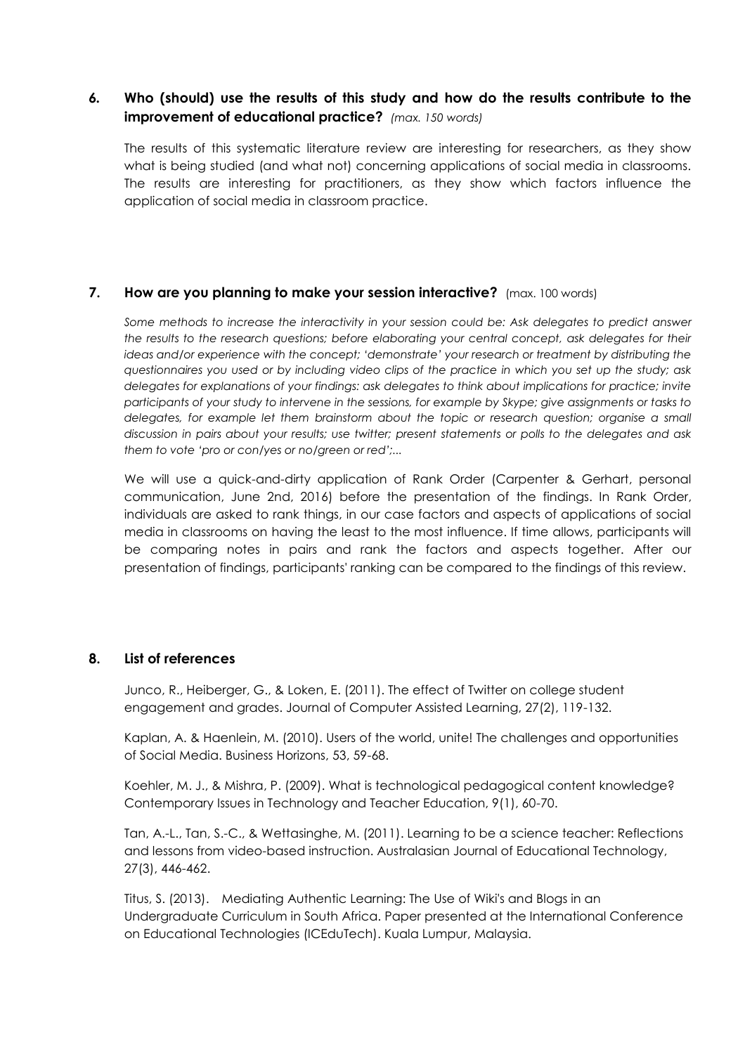## *6.* **Who (should) use the results of this study and how do the results contribute to the improvement of educational practice?** *(max. 150 words)*

The results of this systematic literature review are interesting for researchers, as they show what is being studied (and what not) concerning applications of social media in classrooms. The results are interesting for practitioners, as they show which factors influence the application of social media in classroom practice.

### **7. How are you planning to make your session interactive?** (max. 100 words)

*Some methods to increase the interactivity in your session could be: Ask delegates to predict answer the results to the research questions; before elaborating your central concept, ask delegates for their ideas and/or experience with the concept; 'demonstrate' your research or treatment by distributing the questionnaires you used or by including video clips of the practice in which you set up the study; ask delegates for explanations of your findings: ask delegates to think about implications for practice; invite participants of your study to intervene in the sessions, for example by Skype; give assignments or tasks to delegates, for example let them brainstorm about the topic or research question; organise a small discussion in pairs about your results; use twitter; present statements or polls to the delegates and ask them to vote 'pro or con/yes or no/green or red';...*

We will use a quick-and-dirty application of Rank Order (Carpenter & Gerhart, personal communication, June 2nd, 2016) before the presentation of the findings. In Rank Order, individuals are asked to rank things, in our case factors and aspects of applications of social media in classrooms on having the least to the most influence. If time allows, participants will be comparing notes in pairs and rank the factors and aspects together. After our presentation of findings, participants' ranking can be compared to the findings of this review.

### **8. List of references**

Junco, R., Heiberger, G., & Loken, E. (2011). The effect of Twitter on college student engagement and grades. Journal of Computer Assisted Learning, 27(2), 119-132.

Kaplan, A. & Haenlein, M. (2010). Users of the world, unite! The challenges and opportunities of Social Media. Business Horizons, 53, 59-68.

Koehler, M. J., & Mishra, P. (2009). What is technological pedagogical content knowledge? Contemporary Issues in Technology and Teacher Education, 9(1), 60-70.

Tan, A.-L., Tan, S.-C., & Wettasinghe, M. (2011). Learning to be a science teacher: Reflections and lessons from video-based instruction. Australasian Journal of Educational Technology, 27(3), 446-462.

Titus, S. (2013). Mediating Authentic Learning: The Use of Wiki's and Blogs in an Undergraduate Curriculum in South Africa. Paper presented at the International Conference on Educational Technologies (ICEduTech). Kuala Lumpur, Malaysia.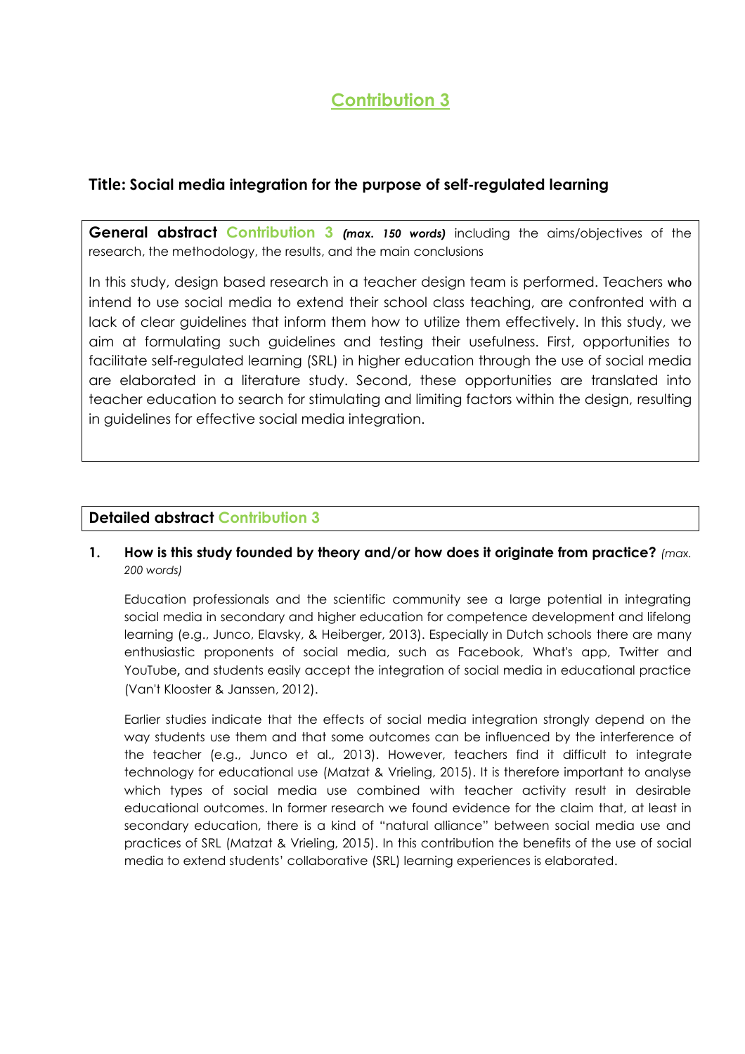# **Contribution 3**

## **Title: Social media integration for the purpose of self-regulated learning**

**General abstract Contribution 3** *(max. 150 words)* including the aims/objectives of the research, the methodology, the results, and the main conclusions

In this study, design based research in a teacher design team is performed. Teachers who intend to use social media to extend their school class teaching, are confronted with a lack of clear guidelines that inform them how to utilize them effectively. In this study, we aim at formulating such guidelines and testing their usefulness. First, opportunities to facilitate self-regulated learning (SRL) in higher education through the use of social media are elaborated in a literature study. Second, these opportunities are translated into teacher education to search for stimulating and limiting factors within the design, resulting in guidelines for effective social media integration.

## **Detailed abstract Contribution 3**

## **1. How is this study founded by theory and/or how does it originate from practice?** *(max. 200 words)*

Education professionals and the scientific community see a large potential in integrating social media in secondary and higher education for competence development and lifelong learning (e.g., Junco, Elavsky, & Heiberger, 2013). Especially in Dutch schools there are many enthusiastic proponents of social media, such as Facebook, What's app, Twitter and YouTube, and students easily accept the integration of social media in educational practice (Van't Klooster & Janssen, 2012).

Earlier studies indicate that the effects of social media integration strongly depend on the way students use them and that some outcomes can be influenced by the interference of the teacher (e.g., Junco et al., 2013). However, teachers find it difficult to integrate technology for educational use (Matzat & Vrieling, 2015). It is therefore important to analyse which types of social media use combined with teacher activity result in desirable educational outcomes. In former research we found evidence for the claim that, at least in secondary education, there is a kind of "natural alliance" between social media use and practices of SRL (Matzat & Vrieling, 2015). In this contribution the benefits of the use of social media to extend students' collaborative (SRL) learning experiences is elaborated.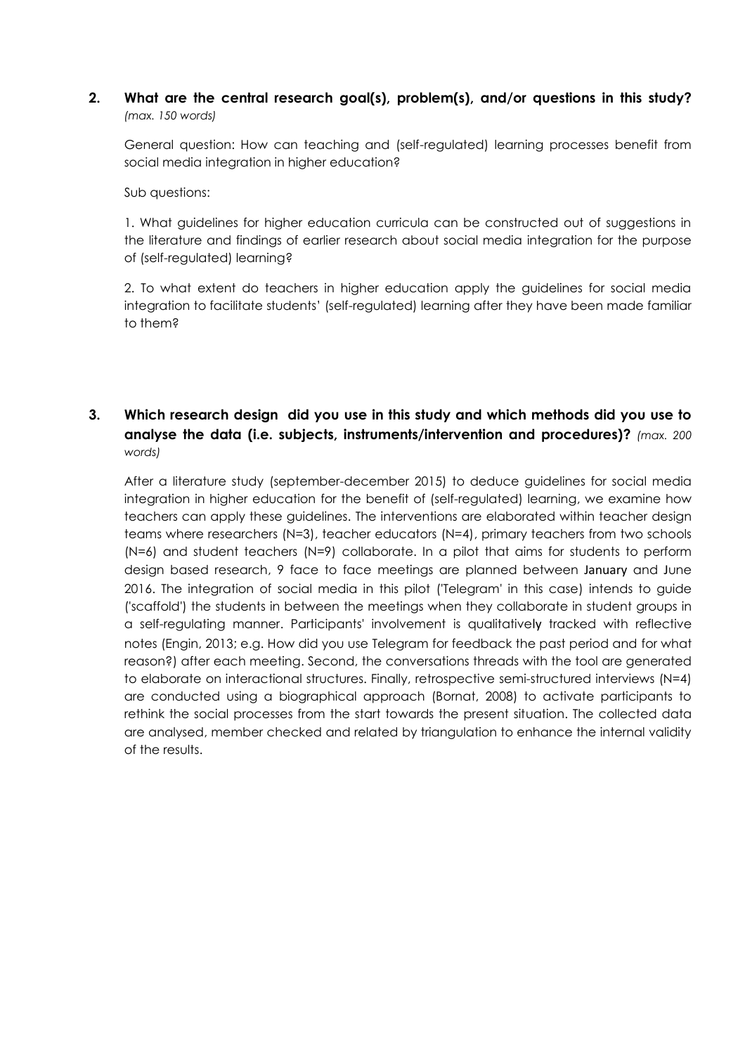### **2. What are the central research goal(s), problem(s), and/or questions in this study?** *(max. 150 words)*

General question: How can teaching and (self-regulated) learning processes benefit from social media integration in higher education?

Sub questions:

1. What guidelines for higher education curricula can be constructed out of suggestions in the literature and findings of earlier research about social media integration for the purpose of (self-regulated) learning?

2. To what extent do teachers in higher education apply the guidelines for social media integration to facilitate students' (self-regulated) learning after they have been made familiar to them?

## **3. Which research design did you use in this study and which methods did you use to analyse the data (i.e. subjects, instruments/intervention and procedures)?** *(max. 200 words)*

After a literature study (september-december 2015) to deduce guidelines for social media integration in higher education for the benefit of (self-regulated) learning, we examine how teachers can apply these guidelines. The interventions are elaborated within teacher design teams where researchers (N=3), teacher educators (N=4), primary teachers from two schools (N=6) and student teachers (N=9) collaborate. In a pilot that aims for students to perform design based research, 9 face to face meetings are planned between January and June 2016. The integration of social media in this pilot ('Telegram' in this case) intends to guide ('scaffold') the students in between the meetings when they collaborate in student groups in a self-regulating manner. Participants' involvement is qualitatively tracked with reflective notes (Engin, 2013; e.g. How did you use Telegram for feedback the past period and for what reason?) after each meeting. Second, the conversations threads with the tool are generated to elaborate on interactional structures. Finally, retrospective semi-structured interviews (N=4) are conducted using a biographical approach (Bornat, 2008) to activate participants to rethink the social processes from the start towards the present situation. The collected data are analysed, member checked and related by triangulation to enhance the internal validity of the results.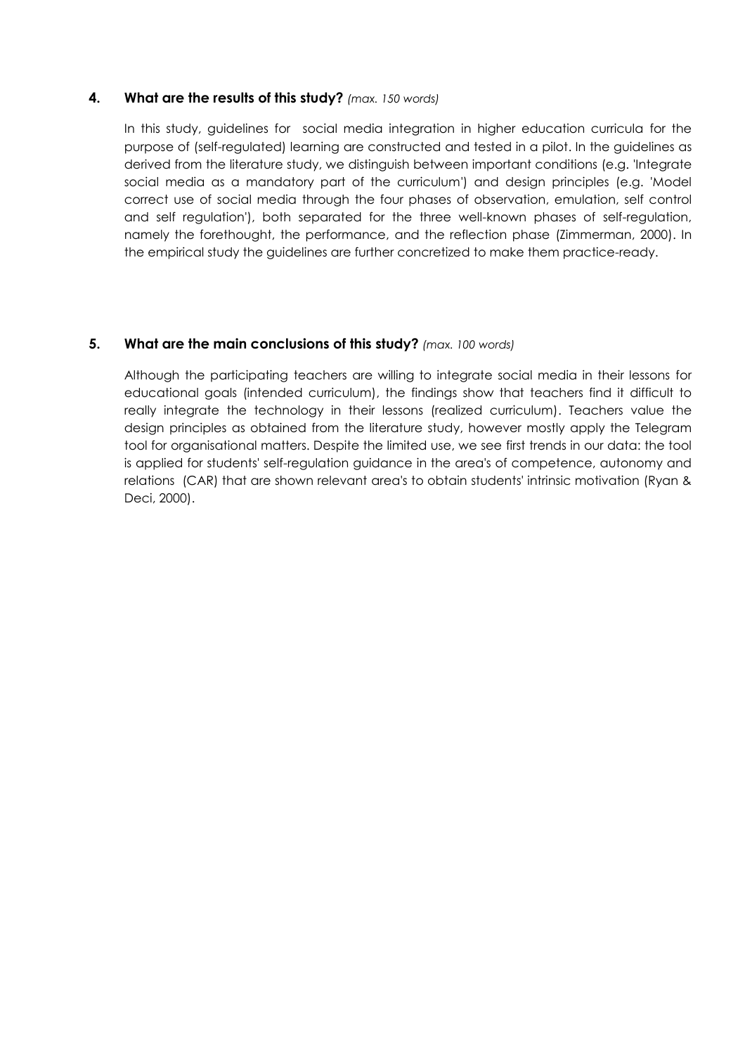### **4. What are the results of this study?** *(max. 150 words)*

In this study, guidelines for social media integration in higher education curricula for the purpose of (self-regulated) learning are constructed and tested in a pilot. In the guidelines as derived from the literature study, we distinguish between important conditions (e.g. 'Integrate social media as a mandatory part of the curriculum') and design principles (e.g. 'Model correct use of social media through the four phases of observation, emulation, self control and self regulation'), both separated for the three well-known phases of self-regulation, namely the forethought, the performance, and the reflection phase (Zimmerman, 2000). In the empirical study the guidelines are further concretized to make them practice-ready.

### **5. What are the main conclusions of this study?** *(max. 100 words)*

Although the participating teachers are willing to integrate social media in their lessons for educational goals (intended curriculum), the findings show that teachers find it difficult to really integrate the technology in their lessons (realized curriculum). Teachers value the design principles as obtained from the literature study, however mostly apply the Telegram tool for organisational matters. Despite the limited use, we see first trends in our data: the tool is applied for students' self-regulation guidance in the area's of competence, autonomy and relations (CAR) that are shown relevant area's to obtain students' intrinsic motivation (Ryan & Deci, 2000).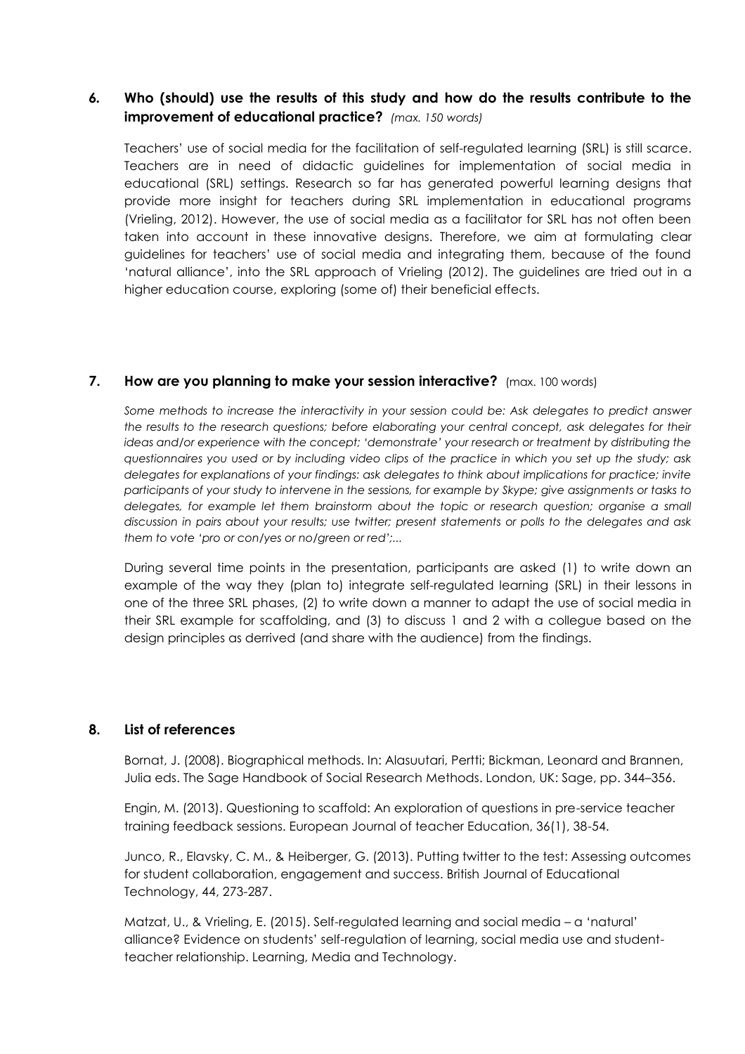## *6.* **Who (should) use the results of this study and how do the results contribute to the improvement of educational practice?** *(max. 150 words)*

Teachers' use of social media for the facilitation of self-regulated learning (SRL) is still scarce. Teachers are in need of didactic guidelines for implementation of social media in educational (SRL) settings. Research so far has generated powerful learning designs that provide more insight for teachers during SRL implementation in educational programs (Vrieling, 2012). However, the use of social media as a facilitator for SRL has not often been taken into account in these innovative designs. Therefore, we aim at formulating clear guidelines for teachers' use of social media and integrating them, because of the found 'natural alliance', into the SRL approach of Vrieling (2012). The guidelines are tried out in a higher education course, exploring (some of) their beneficial effects.

### **7. How are you planning to make your session interactive?** (max. 100 words)

*Some methods to increase the interactivity in your session could be: Ask delegates to predict answer the results to the research questions; before elaborating your central concept, ask delegates for their ideas and/or experience with the concept; 'demonstrate' your research or treatment by distributing the questionnaires you used or by including video clips of the practice in which you set up the study; ask delegates for explanations of your findings: ask delegates to think about implications for practice; invite participants of your study to intervene in the sessions, for example by Skype; give assignments or tasks to delegates, for example let them brainstorm about the topic or research question; organise a small discussion in pairs about your results; use twitter; present statements or polls to the delegates and ask them to vote 'pro or con/yes or no/green or red';...*

During several time points in the presentation, participants are asked (1) to write down an example of the way they (plan to) integrate self-regulated learning (SRL) in their lessons in one of the three SRL phases, (2) to write down a manner to adapt the use of social media in their SRL example for scaffolding, and (3) to discuss 1 and 2 with a collegue based on the design principles as derrived (and share with the audience) from the findings.

### **8. List of references**

Bornat, J. (2008). Biographical methods. In: Alasuutari, Pertti; Bickman, Leonard and Brannen, Julia eds. The Sage Handbook of Social Research Methods. London, UK: Sage, pp. 344–356.

Engin, M. (2013). Questioning to scaffold: An exploration of questions in pre-service teacher training feedback sessions. European Journal of teacher Education, 36(1), 38-54.

Junco, R., Elavsky, C. M., & Heiberger, G. (2013). Putting twitter to the test: Assessing outcomes for student collaboration, engagement and success. British Journal of Educational Technology, 44, 273-287.

Matzat, U., & Vrieling, E. (2015). Self-regulated learning and social media – a 'natural' alliance? Evidence on students' self-regulation of learning, social media use and studentteacher relationship. Learning, Media and Technology.